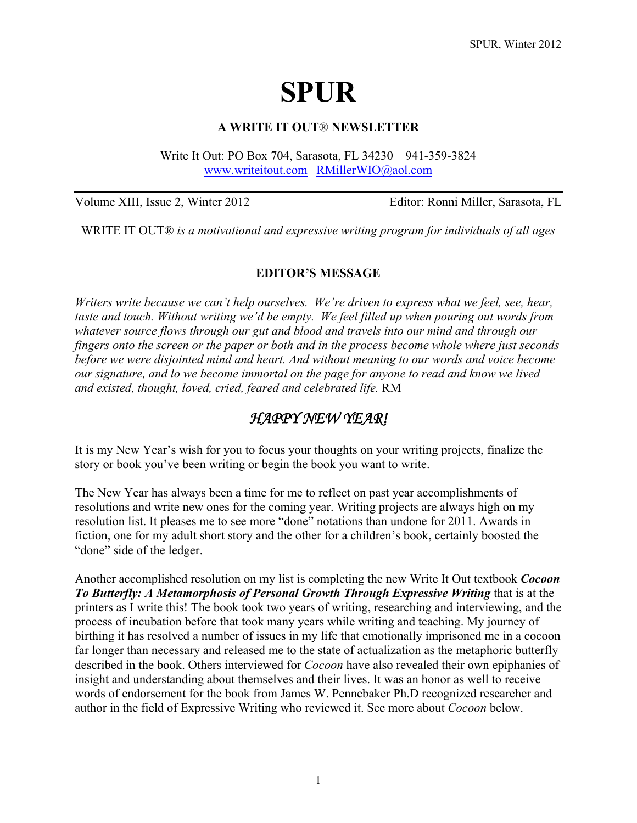# **SPUR**

### **A WRITE IT OUT**® **NEWSLETTER**

Write It Out: PO Box 704, Sarasota, FL 34230 941-359-3824 [www.writeitout.com](http://www.writeitout.com/) [RMillerWIO@aol.com](mailto:RMillerWIO@aol.com) 

Volume XIII, Issue 2, Winter 2012 Editor: Ronni Miller, Sarasota, FL

WRITE IT OUT® *is a motivational and expressive writing program for individuals of all ages* 

#### **EDITOR'S MESSAGE**

*Writers write because we can't help ourselves. We're driven to express what we feel, see, hear, taste and touch. Without writing we'd be empty. We feel filled up when pouring out words from whatever source flows through our gut and blood and travels into our mind and through our fingers onto the screen or the paper or both and in the process become whole where just seconds before we were disjointed mind and heart. And without meaning to our words and voice become our signature, and lo we become immortal on the page for anyone to read and know we lived and existed, thought, loved, cried, feared and celebrated life.* RM

# *HAPPY NEW YEAR!*

It is my New Year's wish for you to focus your thoughts on your writing projects, finalize the story or book you've been writing or begin the book you want to write.

The New Year has always been a time for me to reflect on past year accomplishments of resolutions and write new ones for the coming year. Writing projects are always high on my resolution list. It pleases me to see more "done" notations than undone for 2011. Awards in fiction, one for my adult short story and the other for a children's book, certainly boosted the "done" side of the ledger.

Another accomplished resolution on my list is completing the new Write It Out textbook *Cocoon To Butterfly: A Metamorphosis of Personal Growth Through Expressive Writing* that is at the printers as I write this! The book took two years of writing, researching and interviewing, and the process of incubation before that took many years while writing and teaching. My journey of birthing it has resolved a number of issues in my life that emotionally imprisoned me in a cocoon far longer than necessary and released me to the state of actualization as the metaphoric butterfly described in the book. Others interviewed for *Cocoon* have also revealed their own epiphanies of insight and understanding about themselves and their lives. It was an honor as well to receive words of endorsement for the book from James W. Pennebaker Ph.D recognized researcher and author in the field of Expressive Writing who reviewed it. See more about *Cocoon* below.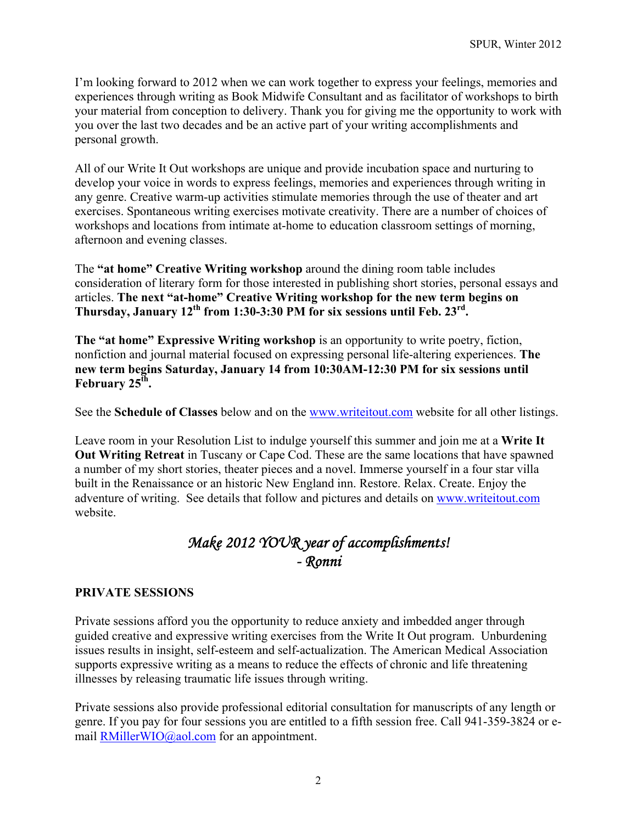I'm looking forward to 2012 when we can work together to express your feelings, memories and experiences through writing as Book Midwife Consultant and as facilitator of workshops to birth your material from conception to delivery. Thank you for giving me the opportunity to work with you over the last two decades and be an active part of your writing accomplishments and personal growth.

All of our Write It Out workshops are unique and provide incubation space and nurturing to develop your voice in words to express feelings, memories and experiences through writing in any genre. Creative warm-up activities stimulate memories through the use of theater and art exercises. Spontaneous writing exercises motivate creativity. There are a number of choices of workshops and locations from intimate at-home to education classroom settings of morning, afternoon and evening classes.

The **"at home" Creative Writing workshop** around the dining room table includes consideration of literary form for those interested in publishing short stories, personal essays and articles. **The next "at-home" Creative Writing workshop for the new term begins on**  Thursday, January 12<sup>th</sup> from 1:30-3:30 PM for six sessions until Feb. 23<sup>rd</sup>.

**The "at home" Expressive Writing workshop** is an opportunity to write poetry, fiction, nonfiction and journal material focused on expressing personal life-altering experiences. **The new term begins Saturday, January 14 from 10:30AM-12:30 PM for six sessions until**  February 25<sup>th</sup>.

See the **Schedule of Classes** below and on the [www.writeitout.com](http://www.writeitout.com/) website for all other listings.

Leave room in your Resolution List to indulge yourself this summer and join me at a **Write It Out Writing Retreat** in Tuscany or Cape Cod. These are the same locations that have spawned a number of my short stories, theater pieces and a novel. Immerse yourself in a four star villa built in the Renaissance or an historic New England inn. Restore. Relax. Create. Enjoy the adventure of writing. See details that follow and pictures and details on [www.writeitout.com](http://www.writeitout.com/) website.

# *Make 2012 YOUR year of accomplishments! - Ronni*

# **PRIVATE SESSIONS**

Private sessions afford you the opportunity to reduce anxiety and imbedded anger through guided creative and expressive writing exercises from the Write It Out program. Unburdening issues results in insight, self-esteem and self-actualization. The American Medical Association supports expressive writing as a means to reduce the effects of chronic and life threatening illnesses by releasing traumatic life issues through writing.

Private sessions also provide professional editorial consultation for manuscripts of any length or genre. If you pay for four sessions you are entitled to a fifth session free. Call 941-359-3824 or email [RMillerWIO@aol.com](mailto:RMillerWIO@aol.com) for an appointment.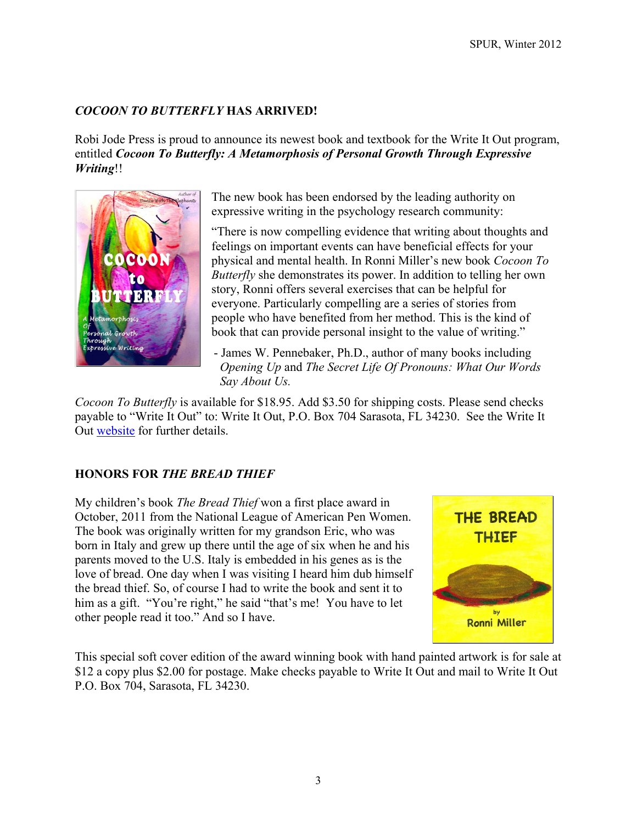# *COCOON TO BUTTERFLY* **HAS ARRIVED!**

Robi Jode Press is proud to announce its newest book and textbook for the Write It Out program, entitled *Cocoon To Butterfly: A Metamorphosis of Personal Growth Through Expressive Writing*!!



The new book has been endorsed by the leading authority on expressive writing in the psychology research community:

"There is now compelling evidence that writing about thoughts and feelings on important events can have beneficial effects for your physical and mental health. In Ronni Miller's new book *Cocoon To Butterfly* she demonstrates its power. In addition to telling her own story, Ronni offers several exercises that can be helpful for everyone. Particularly compelling are a series of stories from people who have benefited from her method. This is the kind of book that can provide personal insight to the value of writing."

 - James W. Pennebaker, Ph.D., author of many books including *Opening Up* and *The Secret Life Of Pronouns: What Our Words Say About Us.* 

*Cocoon To Butterfly* is available for \$18.95. Add \$3.50 for shipping costs. Please send checks payable to "Write It Out" to: Write It Out, P.O. Box 704 Sarasota, FL 34230. See the Write It Out [website](http://www.writeitout.com/WIO_Books.html) for further details.

# **HONORS FOR** *THE BREAD THIEF*

My children's book *The Bread Thief* won a first place award in October, 2011 from the National League of American Pen Women. The book was originally written for my grandson Eric, who was born in Italy and grew up there until the age of six when he and his parents moved to the U.S. Italy is embedded in his genes as is the love of bread. One day when I was visiting I heard him dub himself the bread thief. So, of course I had to write the book and sent it to him as a gift. "You're right," he said "that's me! You have to let other people read it too." And so I have.



This special soft cover edition of the award winning book with hand painted artwork is for sale at \$12 a copy plus \$2.00 for postage. Make checks payable to Write It Out and mail to Write It Out P.O. Box 704, Sarasota, FL 34230.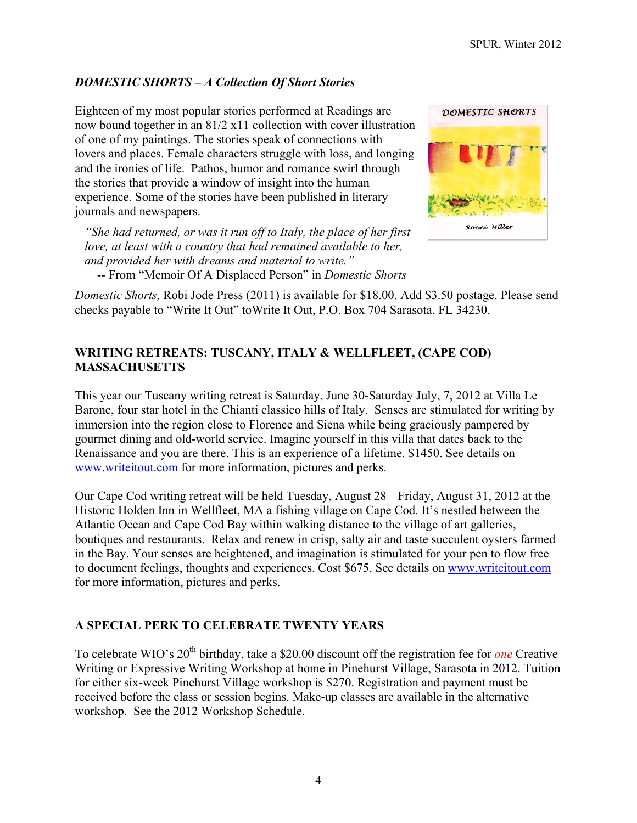# *DOMESTIC SHORTS – A Collection Of Short Stories*

Eighteen of my most popular stories performed at Readings are now bound together in an 81/2 x11 collection with cover illustration of one of my paintings. The stories speak of connections with lovers and places. Female characters struggle with loss, and longing and the ironies of life. Pathos, humor and romance swirl through the stories that provide a window of insight into the human experience. Some of the stories have been published in literary journals and newspapers.

*"She had returned, or was it run off to Italy, the place of her first love, at least with a country that had remained available to her, and provided her with dreams and material to write."* -- From "Memoir Of A Displaced Person" in *Domestic Shorts*



*Domestic Shorts,* Robi Jode Press (2011) is available for \$18.00. Add \$3.50 postage. Please send checks payable to "Write It Out" toWrite It Out, P.O. Box 704 Sarasota, FL 34230.

# **WRITING RETREATS: TUSCANY, ITALY & WELLFLEET, (CAPE COD) MASSACHUSETTS**

This year our Tuscany writing retreat is Saturday, June 30-Saturday July, 7, 2012 at Villa Le Barone, four star hotel in the Chianti classico hills of Italy. Senses are stimulated for writing by immersion into the region close to Florence and Siena while being graciously pampered by gourmet dining and old-world service. Imagine yourself in this villa that dates back to the Renaissance and you are there. This is an experience of a lifetime. \$1450. See details on [www.writeitout.com](http://www.writeitout.com/) for more information, pictures and perks.

Our Cape Cod writing retreat will be held Tuesday, August 28 – Friday, August 31, 2012 at the Historic Holden Inn in Wellfleet, MA a fishing village on Cape Cod. It's nestled between the Atlantic Ocean and Cape Cod Bay within walking distance to the village of art galleries, boutiques and restaurants. Relax and renew in crisp, salty air and taste succulent oysters farmed in the Bay. Your senses are heightened, and imagination is stimulated for your pen to flow free to document feelings, thoughts and experiences. Cost \$675. See details on [www.writeitout.com](http://www.writeitout.com/) for more information, pictures and perks.

# **A SPECIAL PERK TO CELEBRATE TWENTY YEARS**

To celebrate WIO's 20<sup>th</sup> birthday, take a \$20.00 discount off the registration fee for *one* Creative Writing or Expressive Writing Workshop at home in Pinehurst Village, Sarasota in 2012. Tuition for either six-week Pinehurst Village workshop is \$270. Registration and payment must be received before the class or session begins. Make-up classes are available in the alternative workshop. See the 2012 Workshop Schedule.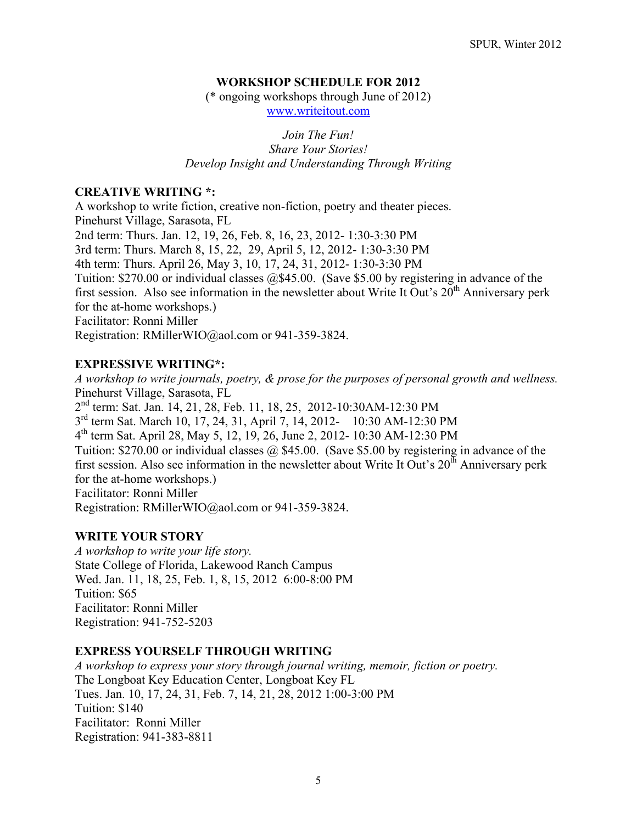# **WORKSHOP SCHEDULE FOR 2012**

(\* ongoing workshops through June of 2012)

[www.writeitout.com](http://www.writeitout.com/) 

*Join The Fun! Share Your Stories! Develop Insight and Understanding Through Writing* 

#### **CREATIVE WRITING \*:**

A workshop to write fiction, creative non-fiction, poetry and theater pieces. Pinehurst Village, Sarasota, FL 2nd term: Thurs. Jan. 12, 19, 26, Feb. 8, 16, 23, 2012- 1:30-3:30 PM 3rd term: Thurs. March 8, 15, 22, 29, April 5, 12, 2012- 1:30-3:30 PM 4th term: Thurs. April 26, May 3, 10, 17, 24, 31, 2012- 1:30-3:30 PM Tuition: \$270.00 or individual classes @\$45.00. (Save \$5.00 by registering in advance of the first session. Also see information in the newsletter about Write It Out's  $20<sup>th</sup>$  Anniversary perk for the at-home workshops.) Facilitator: Ronni Miller Registration: RMillerWIO@aol.com or 941-359-3824.

### **EXPRESSIVE WRITING\*:**

*A workshop to write journals, poetry, & prose for the purposes of personal growth and wellness.*  Pinehurst Village, Sarasota, FL 2nd term: Sat. Jan. 14, 21, 28, Feb. 11, 18, 25, 2012-10:30AM-12:30 PM 3rd term Sat. March 10, 17, 24, 31, April 7, 14, 2012- 10:30 AM-12:30 PM 4th term Sat. April 28, May 5, 12, 19, 26, June 2, 2012- 10:30 AM-12:30 PM Tuition: \$270.00 or individual classes @ \$45.00. (Save \$5.00 by registering in advance of the first session. Also see information in the newsletter about Write It Out's  $20<sup>th</sup>$  Anniversary perk for the at-home workshops.) Facilitator: Ronni Miller Registration: [RMillerWIO@aol.com](mailto:RMillerWIO@aol.com) or 941-359-3824.

#### **WRITE YOUR STORY**

*A workshop to write your life story.*  State College of Florida, Lakewood Ranch Campus Wed. Jan. 11, 18, 25, Feb. 1, 8, 15, 2012 6:00-8:00 PM Tuition: \$65 Facilitator: Ronni Miller Registration: 941-752-5203

#### **EXPRESS YOURSELF THROUGH WRITING**

*A workshop to express your story through journal writing, memoir, fiction or poetry.*  The Longboat Key Education Center, Longboat Key FL Tues. Jan. 10, 17, 24, 31, Feb. 7, 14, 21, 28, 2012 1:00-3:00 PM Tuition: \$140 Facilitator: Ronni Miller Registration: 941-383-8811